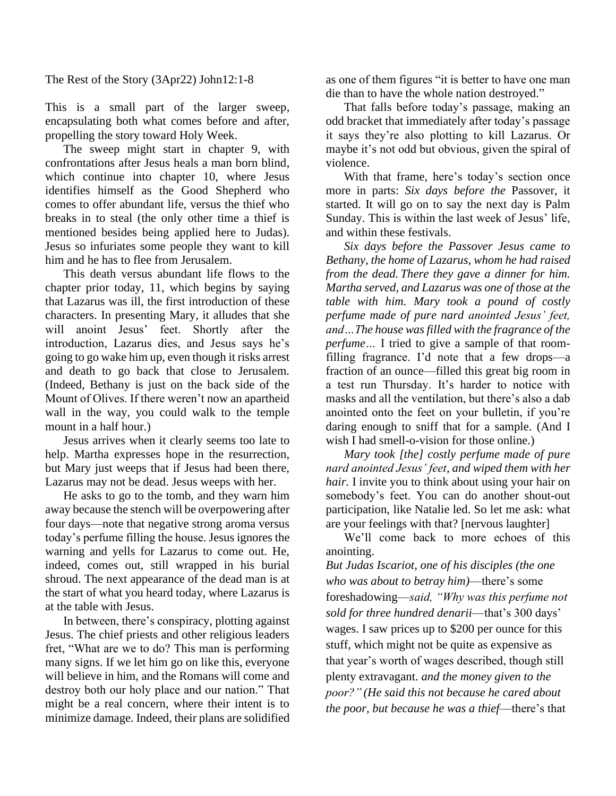The Rest of the Story (3Apr22) John12:1-8

This is a small part of the larger sweep, encapsulating both what comes before and after, propelling the story toward Holy Week.

The sweep might start in chapter 9, with confrontations after Jesus heals a man born blind, which continue into chapter 10, where Jesus identifies himself as the Good Shepherd who comes to offer abundant life, versus the thief who breaks in to steal (the only other time a thief is mentioned besides being applied here to Judas). Jesus so infuriates some people they want to kill him and he has to flee from Jerusalem.

This death versus abundant life flows to the chapter prior today, 11, which begins by saying that Lazarus was ill, the first introduction of these characters. In presenting Mary, it alludes that she will anoint Jesus' feet. Shortly after the introduction, Lazarus dies, and Jesus says he's going to go wake him up, even though it risks arrest and death to go back that close to Jerusalem. (Indeed, Bethany is just on the back side of the Mount of Olives. If there weren't now an apartheid wall in the way, you could walk to the temple mount in a half hour.)

Jesus arrives when it clearly seems too late to help. Martha expresses hope in the resurrection, but Mary just weeps that if Jesus had been there, Lazarus may not be dead. Jesus weeps with her.

He asks to go to the tomb, and they warn him away because the stench will be overpowering after four days—note that negative strong aroma versus today's perfume filling the house. Jesus ignores the warning and yells for Lazarus to come out. He, indeed, comes out, still wrapped in his burial shroud. The next appearance of the dead man is at the start of what you heard today, where Lazarus is at the table with Jesus.

In between, there's conspiracy, plotting against Jesus. The chief priests and other religious leaders fret, "What are we to do? This man is performing many signs. If we let him go on like this, everyone will believe in him, and the Romans will come and destroy both our holy place and our nation." That might be a real concern, where their intent is to minimize damage. Indeed, their plans are solidified as one of them figures "it is better to have one man die than to have the whole nation destroyed."

That falls before today's passage, making an odd bracket that immediately after today's passage it says they're also plotting to kill Lazarus. Or maybe it's not odd but obvious, given the spiral of violence.

With that frame, here's today's section once more in parts: *Six days before the* Passover, it started. It will go on to say the next day is Palm Sunday. This is within the last week of Jesus' life, and within these festivals.

*Six days before the Passover Jesus came to Bethany, the home of Lazarus, whom he had raised from the dead. There they gave a dinner for him. Martha served, and Lazarus was one of those at the table with him. Mary took a pound of costly perfume made of pure nard anointed Jesus' feet, and…The house was filled with the fragrance of the perfume…* I tried to give a sample of that roomfilling fragrance. I'd note that a few drops—a fraction of an ounce—filled this great big room in a test run Thursday. It's harder to notice with masks and all the ventilation, but there's also a dab anointed onto the feet on your bulletin, if you're daring enough to sniff that for a sample. (And I wish I had smell-o-vision for those online.)

*Mary took [the] costly perfume made of pure nard anointed Jesus' feet, and wiped them with her hair.* I invite you to think about using your hair on somebody's feet. You can do another shout-out participation, like Natalie led. So let me ask: what are your feelings with that? [nervous laughter]

We'll come back to more echoes of this anointing.

*But Judas Iscariot, one of his disciples (the one who was about to betray him)*—there's some foreshadowing—*said, "Why was this perfume not sold for three hundred denarii*—that's 300 days' wages. I saw prices up to \$200 per ounce for this stuff, which might not be quite as expensive as that year's worth of wages described, though still plenty extravagant. *and the money given to the poor?" (He said this not because he cared about the poor, but because he was a thief*—there's that